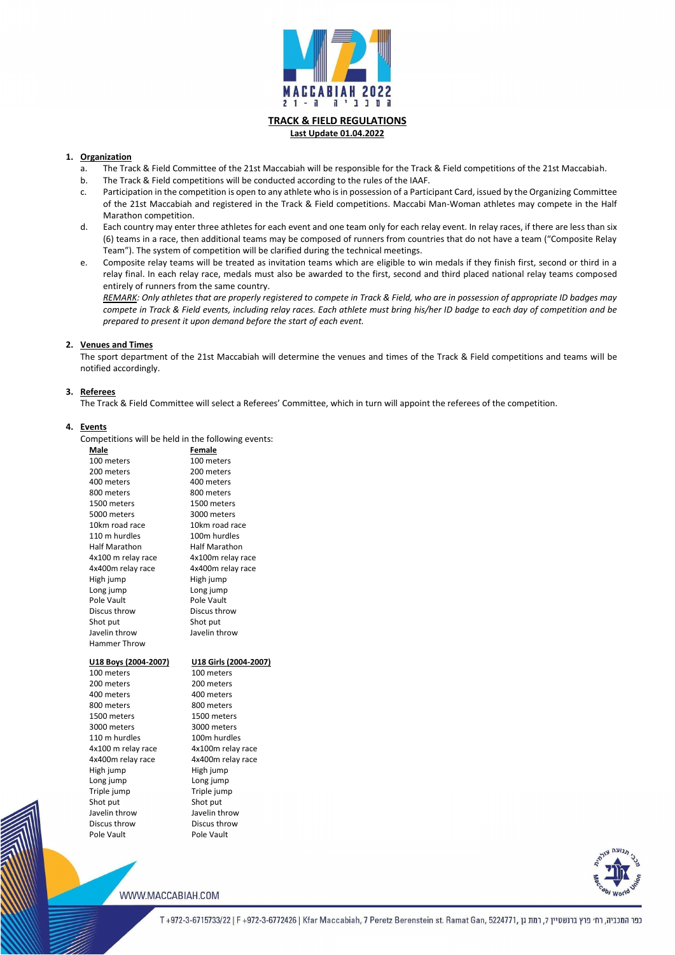

# **TRACK & FIELD REGULATIONS Last Update 01.04.2022**

### **1. Organization**

- a. The Track & Field Committee of the 21st Maccabiah will be responsible for the Track & Field competitions of the 21st Maccabiah.
- b. The Track & Field competitions will be conducted according to the rules of the IAAF.
- c. Participation in the competition is open to any athlete who is in possession of a Participant Card, issued by the Organizing Committee of the 21st Maccabiah and registered in the Track & Field competitions. Maccabi Man-Woman athletes may compete in the Half Marathon competition.
- d. Each country may enter three athletes for each event and one team only for each relay event. In relay races, if there are less than six (6) teams in a race, then additional teams may be composed of runners from countries that do not have a team ("Composite Relay Team"). The system of competition will be clarified during the technical meetings.
- e. Composite relay teams will be treated as invitation teams which are eligible to win medals if they finish first, second or third in a relay final. In each relay race, medals must also be awarded to the first, second and third placed national relay teams composed entirely of runners from the same country.

3000 meters 3000 meters 110 m hurdles 100m hurdles 4x100 m relay race 4x100m relay race 4x400m relay race 4x400m relay race High jump High jump Long jump Long jump Triple jump Triple jump Shot put Shot put Javelin throw Javelin throw Discus throw Discus throw Pole Vault Pole Vault

*REMARK: Only athletes that are properly registered to compete in Track & Field, who are in possession of appropriate ID badges may compete in Track & Field events, including relay races. Each athlete must bring his/her ID badge to each day of competition and be prepared to present it upon demand before the start of each event.*

#### **2. Venues and Times**

The sport department of the 21st Maccabiah will determine the venues and times of the Track & Field competitions and teams will be notified accordingly.

# **3. Referees**

The Track & Field Committee will select a Referees' Committee, which in turn will appoint the referees of the competition.

# **4. Events**

Competitions will be held in the following events:

| <b>Male</b>          | <b>Female</b>         |
|----------------------|-----------------------|
| 100 meters           | 100 meters            |
| 200 meters           | 200 meters            |
| 400 meters           | 400 meters            |
| 800 meters           | 800 meters            |
| 1500 meters          | 1500 meters           |
| 5000 meters          | 3000 meters           |
| 10km road race       | 10km road race        |
| 110 m hurdles        | 100m hurdles          |
| <b>Half Marathon</b> | <b>Half Marathon</b>  |
| 4x100 m relay race   | 4x100m relay race     |
| 4x400m relay race    | 4x400m relay race     |
| High jump            | High jump             |
| Long jump            | Long jump             |
| Pole Vault           | Pole Vault            |
| Discus throw         | Discus throw          |
| Shot put             | Shot put              |
| Javelin throw        | Javelin throw         |
| <b>Hammer Throw</b>  |                       |
| U18 Boys (2004-2007) | U18 Girls (2004-2007) |
| 100 meters           | 100 meters            |
| 200 meters           | 200 meters            |
| 400 meters           | 400 meters            |
| 800 meters           | 800 meters            |

1500 meters 1500 meters

WWW.MACCABIAH.COM



כפר המכביה, רח׳ פרץ ברנשטיין 7, רמת גן ,972-3-6715733/22 | F +972-3-6772426 | Kfar Maccabiah, 7 Peretz Berenstein st. Ramat Gan, 5224771, רמת גן ה